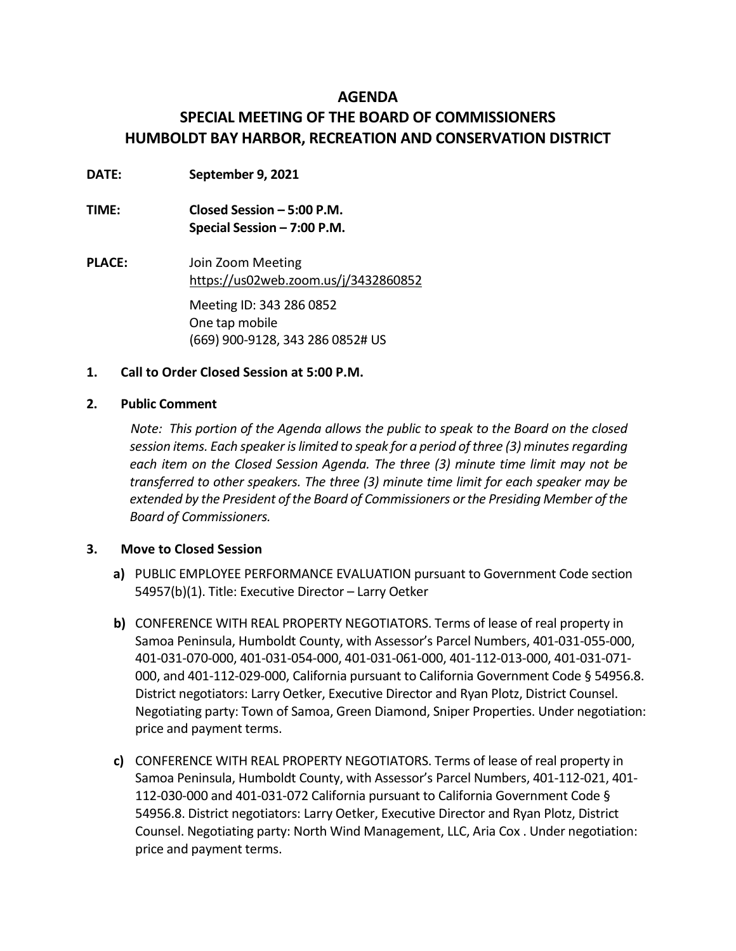### **AGENDA**

# **SPECIAL MEETING OF THE BOARD OF COMMISSIONERS HUMBOLDT BAY HARBOR, RECREATION AND CONSERVATION DISTRICT**

- **DATE: September 9, 2021**
- **TIME: Closed Session – 5:00 P.M. Special Session – 7:00 P.M.**
- **PLACE:** Join Zoom Meeting <https://us02web.zoom.us/j/3432860852> Meeting ID: 343 286 0852 One tap mobile (669) 900-9128, 343 286 0852# US

### **1. Call to Order Closed Session at 5:00 P.M.**

### **2. Public Comment**

*Note: This portion of the Agenda allows the public to speak to the Board on the closed session items. Each speaker is limited to speak for a period of three (3) minutes regarding each item on the Closed Session Agenda. The three (3) minute time limit may not be transferred to other speakers. The three (3) minute time limit for each speaker may be extended by the President of the Board of Commissioners or the Presiding Member of the Board of Commissioners.*

### **3. Move to Closed Session**

- **a)** PUBLIC EMPLOYEE PERFORMANCE EVALUATION pursuant to Government Code section 54957(b)(1). Title: Executive Director – Larry Oetker
- **b)** CONFERENCE WITH REAL PROPERTY NEGOTIATORS. Terms of lease of real property in Samoa Peninsula, Humboldt County, with Assessor's Parcel Numbers, 401-031-055-000, 401-031-070-000, 401-031-054-000, 401-031-061-000, 401-112-013-000, 401-031-071- 000, and 401-112-029-000, California pursuant to California Government Code § 54956.8. District negotiators: Larry Oetker, Executive Director and Ryan Plotz, District Counsel. Negotiating party: Town of Samoa, Green Diamond, Sniper Properties. Under negotiation: price and payment terms.
- **c)** CONFERENCE WITH REAL PROPERTY NEGOTIATORS. Terms of lease of real property in Samoa Peninsula, Humboldt County, with Assessor's Parcel Numbers, 401-112-021, 401- 112-030-000 and 401-031-072 California pursuant to California Government Code § 54956.8. District negotiators: Larry Oetker, Executive Director and Ryan Plotz, District Counsel. Negotiating party: North Wind Management, LLC, Aria Cox . Under negotiation: price and payment terms.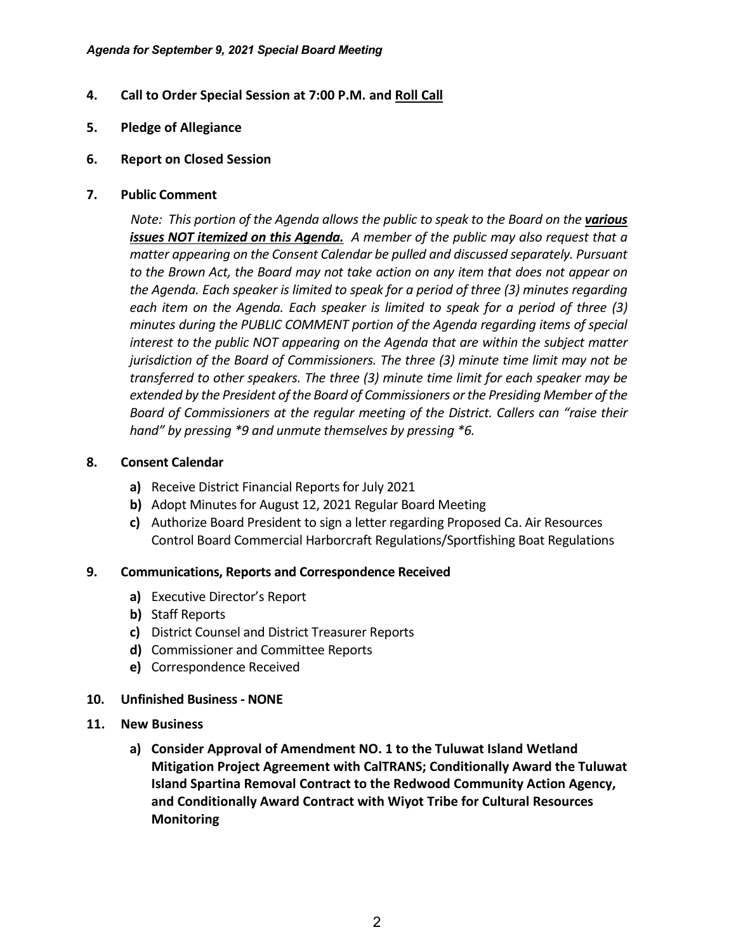- **4. Call to Order Special Session at 7:00 P.M. and Roll Call**
- **5. Pledge of Allegiance**
- **6. Report on Closed Session**
- **7. Public Comment**

*Note: This portion of the Agenda allows the public to speak to the Board on the various issues NOT itemized on this Agenda. A member of the public may also request that a matter appearing on the Consent Calendar be pulled and discussed separately. Pursuant to the Brown Act, the Board may not take action on any item that does not appear on the Agenda. Each speaker is limited to speak for a period of three (3) minutes regarding*  each item on the Agenda. Each speaker is limited to speak for a period of three (3) *minutes during the PUBLIC COMMENT portion of the Agenda regarding items of special interest to the public NOT appearing on the Agenda that are within the subject matter jurisdiction of the Board of Commissioners. The three (3) minute time limit may not be transferred to other speakers. The three (3) minute time limit for each speaker may be extended by the President of the Board of Commissioners or the Presiding Member of the Board of Commissioners at the regular meeting of the District. Callers can "raise their hand" by pressing \*9 and unmute themselves by pressing \*6.*

### **8. Consent Calendar**

- **a)** Receive District Financial Reports for July 2021
- **b)** Adopt Minutes for August 12, 2021 Regular Board Meeting
- **c)** Authorize Board President to sign a letter regarding Proposed Ca. Air Resources Control Board Commercial Harborcraft Regulations/Sportfishing Boat Regulations

### **9. Communications, Reports and Correspondence Received**

- **a)** Executive Director's Report
- **b)** Staff Reports
- **c)** District Counsel and District Treasurer Reports
- **d)** Commissioner and Committee Reports
- **e)** Correspondence Received

### **10. Unfinished Business - NONE**

- **11. New Business**
	- **a) Consider Approval of Amendment NO. 1 to the Tuluwat Island Wetland Mitigation Project Agreement with CalTRANS; Conditionally Award the Tuluwat Island Spartina Removal Contract to the Redwood Community Action Agency, and Conditionally Award Contract with Wiyot Tribe for Cultural Resources Monitoring**